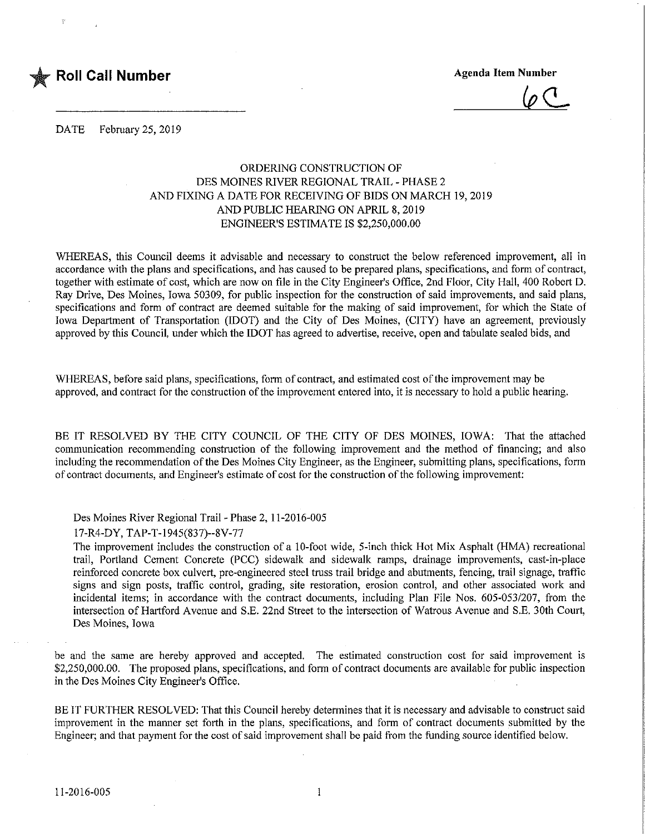

 $\langle \rho \rangle$ 

DATE February 25, 2019

## ORDERING CONSTRUCTION OF DES MOINES RIVER REGIONAL TRAIL - PHASE 2 AND FIXING A DATE FOR RECEIVING OF BIDS ON MARCH 19,2019 AND PUBLIC HEARING ON APRIL 8,2019 ENGINEER'S ESTIMATE IS \$2,250,000.00

WHEREAS, this Council deems it advisable and necessary to construct the below referenced improvement, all in accordance with the plans and specifications, and has caused to be prepared plans, specifications, and form of contract, together with estimate of cost, which are now on file in the City Engineer's Office, 2nd Floor, City Hall, 400 Robert D. Ray Drive, Des Moines, Iowa 50309, for public inspection for the construction of said improvements, and said plans, specifications and form of contract are deemed suitable for the making of said improvement, for which the State of Iowa Department of Transportation (IDOT) and the City of Des Moines, (CITY) have an agreement, previously approved by this Council, under which the IDOT has agreed to advertise, receive, open and tabulate sealed bids, and

WHEREAS, before said plans, specifications, form of contract, and estimated cost of the improvement may be approved, and contract for the construction of the improvement entered into, it is necessary to hold a public hearing.

BE IT RESOLVED BY THE CITY COUNCIL OF THE CITY OF DES MOINES, IOWA: That the attached communication recommending construction of the following improvement and the method of financing; and also including the recommendation of the Des Moines City Engineer, as the Engineer, submitting plans, specifications, form of contract documents, and Engineer's estimate of cost for the construction of the following improvement;

Des Moines River Regional Trail - Phase 2,11-2016-005

17-R4-DY, TAP-T-1945(837)-8V-77

The improvement includes the construction of a 10-foot wide, 5-inch thick Hot Mix Asphalt (HMA) recreational trail, Portland Cement Concrete (PCC) sidewalk and sidewalk ramps, drainage improvements, cast-in-place reinforced concrete box culvert, pre-engineered steel truss trail bridge and abutments, fencing, trail signage, traffic signs and sign posts, traffic control, grading, site restoration, erosion control, and other associated work and incidental items; in accordance with the contract documents, including Plan File Nos. 605-053/207, from the intersection of Hartford Avenue and S.E. 22nd Street to the intersection of Watrous Avenue and S.E. 30th Court, Des Moines, Iowa

be and the same are hereby approved and accepted. The estimated construction cost for said improvement is \$2,250,000.00. The proposed plans, specifications, and form of contract documents are available for public inspection in the Des Moines City Engineer's Office.

BE IT FURTHER RESOLVED: That this Council hereby determines that it is necessary and advisable to construct said improvement in the manner set forth in the plans, specifications, and form of contract documents submitted by the Engineer; and that payment for the cost of said improvement shall be paid from the funding source identified below.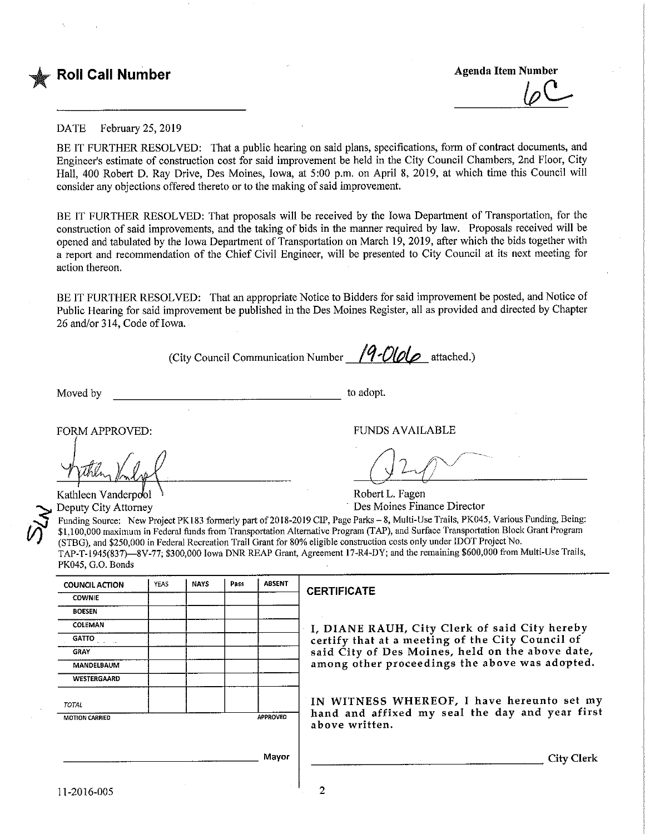

#### DATE February 25, 2019

BE IT FURTHER RESOLVED: That a public hearing on said plans, specifications, form of contract documents, and Engineer's estimate of construction cost for said improvement be held in the City Council Chambers, 2nd Floor, City Hall, 400 Robert D. Ray Drive, Des Moines, Iowa, at 5:00 p.m. on April 8, 2019, at which time this Council will consider any objections offered thereto or to the making of said improvement.

BE IT FURTHER RESOLVED: That proposals will be received by the Iowa Department of Transportation, for the construction of said improvements, and the taking of bids in the manner required by law. Proposals received will be opened and tabulated by the Iowa Department of Transportation on March 19, 2019, after which the bids together with a report and recommendation of the Chief Civil Engineer, will be presented to City Council at its next meeting for action thereon.

BE IT FURTHER RESOLVED: That an appropriate Notice to Bidders for said improvement be posted, and Notice of Public Hearing for said improvement be published in the Des Moines Register, all as provided and directed by Chapter 26 and/or 314, Code of Iowa.

(City Council Communication Number  $\sqrt{9}$ -Ololo attached.)

Moved by the contract of the contract of the contract of the contract of the adopt.

 $\bm{\breve{S}}$  $\mathcal{\breve{\rho}}$ 

FORM APPROVED: THE RESERVED OF THE RESERVED OF THE RESERVED OF THE RESERVED OF THE RESERVED OF THE RESERVED OF THE RESERVED OF THE RESERVED OF THE RESERVED OF THE RESERVED OF THE RESERVED OF THE RESERVED OF THE RESERVED OF

Kathleen Vanderpool \ Robert L. Fagen Deputy City Attorney **Des Moines Finance Director** Des Moines Finance Director

Funding Source: New Project PK183 formerly part of 2018-2019 CIP, Page Parks - 8, Multi-Use Trails, PK045, Various Funding, Being: \$1,100,000 maximum in Federal funds from Transportation Alternative Program (TAP), and Surface Transportation Block Grant Program (STBG), and \$250,000 in Federal Recreation Trail Grant for 80% eligible construction costs only under IDOT Project No. TAP-T-1945(837)—8V-77; \$300,000 Iowa DNR REAP Grant, Agreement 17-R4-DY; and the remaining \$600,000 from Multi-Use Trails, PK045. G.O. Bonds

| <b>COUNCIL ACTION</b> | YEAS | <b>NAYS</b> | Pass | <b>ABSENT</b> |
|-----------------------|------|-------------|------|---------------|
| <b>COWNIE</b>         |      |             |      |               |
| <b>BOESEN</b>         |      |             |      |               |
| COLEMAN               |      |             |      |               |
| <b>GATTO</b>          |      |             |      |               |
| <b>GRAY</b>           |      |             |      |               |
| MANDELBAUM            |      |             |      |               |
| WESTERGAARD           |      |             |      |               |
| <b>TOTAL</b>          |      |             |      |               |
| <b>MOTION CARRIED</b> |      |             |      | APPROVED      |

#### **ERTIFICATE**

, DIANE RAUH, City Clerk of said City hereby certify that at a meeting of the City Council of aid City of Des Moines, held on the above date, mong other proceedings the above was adopted.

IN WITNESS WHEREOF, I have hereunto set my and and affixed my seal the day and year first bove written.

City Clerk

Mayor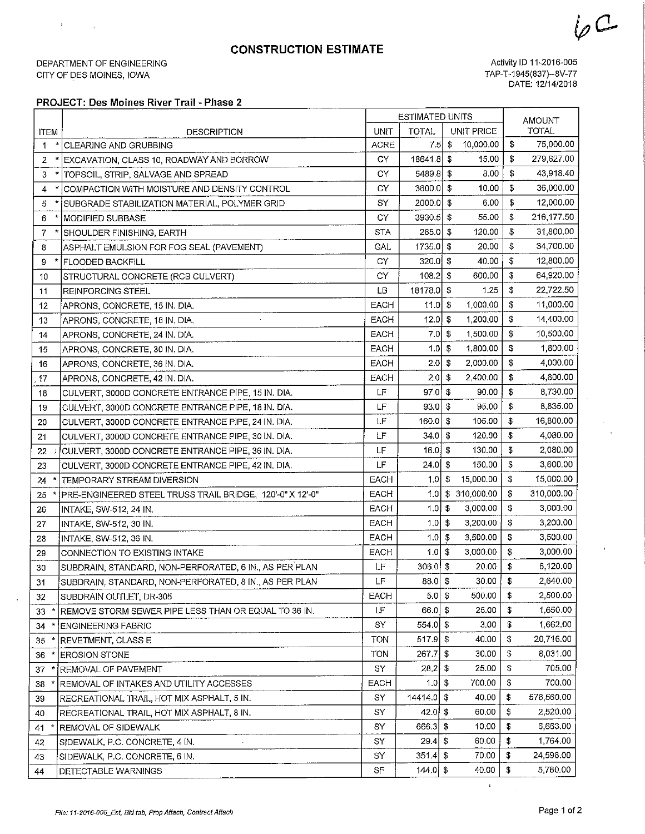# CONSTRUCTION ESTIMATE

DEPARTMENT OF ENGINEERING CITY OF DES MOiNES, IOWA

 $\mathcal{A}$ 

 $\mathbb{R}^2$ 

Activity ID 11-2016-005 TAP-T-1945(837)-8V-77 DATE: 12/14/2018

 $6C$ 

 $\overline{\phantom{0}}$ 

### PROJECT: Des Moines River Trail - Phase 2

| UNIT PRICE<br><b>TOTAL</b><br>UNIT<br><b>TOTAL</b><br><b>ITEM</b><br><b>DESCRIPTION</b><br>\$<br>$7.5$ \$<br>10,000.00<br>75,000.00<br><b>ACRE</b><br>$\pmb{\ast}$<br><b>CLEARING AND GRUBBING</b><br>1<br>18641.8 \$<br>15.00<br>\$<br>279,627.00<br>CY.<br>2<br>EXCAVATION, CLASS 10, ROADWAY AND BORROW<br>\$<br>$5489.8$ \$<br>43,918.40<br>8.00<br>СY<br>3<br> TOPSOIL, STRIP, SALVAGE AND SPREAD<br>\$<br>\$<br>3600.0<br>10.00<br>36,000.00<br>COMPACTION WITH MOISTURE AND DENSITY CONTROL<br>СY<br>4<br>\$<br>- \$<br>6.00<br>12,000.00<br>SY<br>2000.0<br>5<br>SUBGRADE STABILIZATION MATERIAL, POLYMER GRID<br>CY<br>3930.5<br>\$<br>55.00<br>\$<br>216,177.50<br><b>MODIFIED SUBBASE</b><br>6<br>\$<br>265.0<br>$\sqrt{2}$<br>31,800.00<br><b>STA</b><br>120.00<br>7<br>SHOULDER FINISHING, EARTH<br>\$<br>34,700.00<br>GAL.<br>1735,0<br>-\$<br>20.00<br>8<br>ASPHALT EMULSION FOR FOG SEAL (PAVEMENT)<br>\$<br>320.0<br>\$<br>40.00<br>12,800.00<br>CY<br>* FLOODED BACKFILL<br>9<br>\$<br>108.2<br>\$<br>600.00<br>64,920.00<br>CY<br>STRUCTURAL CONCRETE (RCB CULVERT)<br>10<br>\$<br>18178.0<br>\$<br>1.25<br>22,722.50<br>LВ<br>11<br>REINFORCING STEEL<br>\$<br>\$<br>11,000.00<br><b>EACH</b><br>11.0<br>1,000.00<br>12<br>APRONS, CONCRETE, 15 IN. DIA.<br>\$<br>\$<br>1,200.00<br>14,400.00<br>EACH<br>12.0<br>13<br>APRONS, CONCRETE, 18 IN. DIA.<br>\$<br>10,500.00<br><b>EACH</b><br>7.0<br>-\$<br>1,500.00<br>14<br>APRONS, CONCRETE, 24 IN. DIA.<br>\$<br>1,800.00<br>EACH<br>1.0<br>- \$<br>1,800.00<br>APRONS, CONCRETE, 30 IN. DIA.<br>15<br>2.0<br>\$<br>2,000.00<br>\$<br>4,000.00<br>EACH<br>16<br>APRONS, CONCRETE, 36 IN. DIA.<br>\$<br>\$<br>2.0<br>2,400.00<br>4,800.00<br>EACH<br>17<br>APRONS, CONCRETE, 42 IN. DIA.<br>\$<br>97.0<br>\$<br>90,00<br>8,730.00<br>LF<br>CULVERT, 3000D CONCRETE ENTRANCE PIPE, 15 IN. DIA.<br>18<br>\$<br>95.00<br>8,835.00<br>LF<br>93.0<br>\$<br>CULVERT, 3000D CONCRETE ENTRANCE PIPE, 18 IN. DIA.<br>19<br>\$<br>16,800.00<br>LF<br>160.0<br>\$<br>105.00<br>CULVERT, 3000D CONCRETE ENTRANCE PIPE, 24 IN. DIA.<br>20<br>\$<br>LF<br>34.0<br>\$<br>120.00<br>4,080.00<br>CULVERT, 3000D CONCRETE ENTRANCE PIPE, 30 IN. DIA.<br>21<br>$\sqrt{3}$<br>130.00<br>\$<br>2,080.00<br>LF<br>16.0<br>CULVERT, 3000D CONCRETE ENTRANCE PIPE, 36 IN. DIA.<br>22<br>\$<br>LF<br>- \$<br>150.00<br>3,600.00<br>24.0<br>23<br>CULVERT, 3000D CONCRETE ENTRANCE PIPE, 42 IN. DIA.<br>\$<br>$\bullet$<br>15,000.00<br>15,000.00<br><b>EACH</b><br>1.0 <sub>l</sub><br>TEMPORARY STREAM DIVERSION<br>24<br>1.0<br>\$ 310,000.00<br>\$<br>310,000.00<br><b>EACH</b><br>PRE-ENGINEERED STEEL TRUSS TRAIL BRIDGE, 120'-0" X 12'-0"<br>25<br>1.0<br>$\mathfrak{S}$<br>3,000.00<br>\$<br>3,000.00<br><b>EACH</b><br>INTAKE, SW-512, 24 IN.<br>26<br>\$<br>1.0<br>- \$<br>3,200.00<br>EACH<br>3,200.00<br>27<br>INTAKE, SW-512, 30 IN.<br>\$<br>$\sqrt{3}$<br>3,500.00<br>1.0 <sub>l</sub><br>3,500.00<br>EACH<br>28<br>INTAKE, SW-512, 36 IN.<br>\$<br>-\$<br>3,000.00<br>3,000.00<br><b>EACH</b><br>1.0<br>CONNECTION TO EXISTING INTAKE<br>29<br>$306.0$ \$<br>\$<br>LF<br>20.00<br>6,120.00<br>SUBDRAIN, STANDARD, NON-PERFORATED, 6 IN., AS PER PLAN<br>30<br>$88.0$ \$<br>\$<br><b>LF</b><br>30,00<br>2,640.00<br>SUBDRAIN, STANDARD, NON-PERFORATED, 8 IN., AS PER PLAN<br>31<br>5.0<br>\$<br>\$<br>2,500.00<br>EACH<br>500.00<br>SUBDRAIN OUTLET, DR-305<br>32<br>$66.0$ \$<br>LF<br>25.00<br>\$<br>1,650.00<br>REMOVE STORM SEWER PIPE LESS THAN OR EQUAL TO 36 IN.<br>33<br>\$<br>554.0<br>\$<br>3.00<br>1,662.00<br>SY<br><b>ENGINEERING FABRIC</b><br>34<br>$517.9$ \$<br>40.00<br>\$<br>20,716.00<br><b>TON</b><br>REVETMENT, CLASS E<br>35<br>$267.7$ \$<br>30.00<br>\$<br>8,031.00<br><b>TON</b><br><b>EROSION STONE</b><br>36<br>$28.2$ \$<br>\$<br>705.00<br>SY<br>25.00<br>REMOVAL OF PAVEMENT<br>37<br>700.00<br>700.00<br>\$<br>$1.0$ \$<br>EACH<br>REMOVAL OF INTAKES AND UTILITY ACCESSES<br>38<br>\$<br>14414.0 \$<br>40.00<br>576,560.00<br>SY<br>RECREATIONAL TRAIL, HOT MIX ASPHALT, 5 IN.<br>39<br>\$<br>SY<br>$42.0$ \$<br>60.00<br>2,520.00<br>RECREATIONAL TRAIL, HOT MIX ASPHALT, 8 IN.<br>40<br>\$<br>6,663.00<br>666.3 \$<br>10.00<br>SY<br>REMOVAL OF SIDEWALK<br>41<br>$29.4$ \$<br>60.00<br>\$<br>1,764.00<br>SY<br>SIDEWALK, P.C. CONCRETE, 4 IN.<br>42<br>\$<br>$351.4$ \$<br>24,598.00<br>70.00<br>SY<br>SIDEWALK, P.C. CONCRETE, 6 IN.<br>43<br>$144.0$ \$<br>40.00<br>5,760.00<br>SF |    |                     | <b>ESTIMATED UNITS</b> |  | <b>AMOUNT</b> |    |
|-----------------------------------------------------------------------------------------------------------------------------------------------------------------------------------------------------------------------------------------------------------------------------------------------------------------------------------------------------------------------------------------------------------------------------------------------------------------------------------------------------------------------------------------------------------------------------------------------------------------------------------------------------------------------------------------------------------------------------------------------------------------------------------------------------------------------------------------------------------------------------------------------------------------------------------------------------------------------------------------------------------------------------------------------------------------------------------------------------------------------------------------------------------------------------------------------------------------------------------------------------------------------------------------------------------------------------------------------------------------------------------------------------------------------------------------------------------------------------------------------------------------------------------------------------------------------------------------------------------------------------------------------------------------------------------------------------------------------------------------------------------------------------------------------------------------------------------------------------------------------------------------------------------------------------------------------------------------------------------------------------------------------------------------------------------------------------------------------------------------------------------------------------------------------------------------------------------------------------------------------------------------------------------------------------------------------------------------------------------------------------------------------------------------------------------------------------------------------------------------------------------------------------------------------------------------------------------------------------------------------------------------------------------------------------------------------------------------------------------------------------------------------------------------------------------------------------------------------------------------------------------------------------------------------------------------------------------------------------------------------------------------------------------------------------------------------------------------------------------------------------------------------------------------------------------------------------------------------------------------------------------------------------------------------------------------------------------------------------------------------------------------------------------------------------------------------------------------------------------------------------------------------------------------------------------------------------------------------------------------------------------------------------------------------------------------------------------------------------------------------------------------------------------------------------------------------------------------------------------------------------------------------------------------------------------------------------------------------------------------------------------------------------------------------------------------------------------------------------------------------------------------------------------------------------------------------------------------------------------------------------------------------------------------------------------------------------------------------------------------------------------------------------------------------------------------------------------------------------------|----|---------------------|------------------------|--|---------------|----|
|                                                                                                                                                                                                                                                                                                                                                                                                                                                                                                                                                                                                                                                                                                                                                                                                                                                                                                                                                                                                                                                                                                                                                                                                                                                                                                                                                                                                                                                                                                                                                                                                                                                                                                                                                                                                                                                                                                                                                                                                                                                                                                                                                                                                                                                                                                                                                                                                                                                                                                                                                                                                                                                                                                                                                                                                                                                                                                                                                                                                                                                                                                                                                                                                                                                                                                                                                                                                                                                                                                                                                                                                                                                                                                                                                                                                                                                                                                                                                                                                                                                                                                                                                                                                                                                                                                                                                                                                                                                                                   |    |                     |                        |  |               |    |
|                                                                                                                                                                                                                                                                                                                                                                                                                                                                                                                                                                                                                                                                                                                                                                                                                                                                                                                                                                                                                                                                                                                                                                                                                                                                                                                                                                                                                                                                                                                                                                                                                                                                                                                                                                                                                                                                                                                                                                                                                                                                                                                                                                                                                                                                                                                                                                                                                                                                                                                                                                                                                                                                                                                                                                                                                                                                                                                                                                                                                                                                                                                                                                                                                                                                                                                                                                                                                                                                                                                                                                                                                                                                                                                                                                                                                                                                                                                                                                                                                                                                                                                                                                                                                                                                                                                                                                                                                                                                                   |    |                     |                        |  |               |    |
|                                                                                                                                                                                                                                                                                                                                                                                                                                                                                                                                                                                                                                                                                                                                                                                                                                                                                                                                                                                                                                                                                                                                                                                                                                                                                                                                                                                                                                                                                                                                                                                                                                                                                                                                                                                                                                                                                                                                                                                                                                                                                                                                                                                                                                                                                                                                                                                                                                                                                                                                                                                                                                                                                                                                                                                                                                                                                                                                                                                                                                                                                                                                                                                                                                                                                                                                                                                                                                                                                                                                                                                                                                                                                                                                                                                                                                                                                                                                                                                                                                                                                                                                                                                                                                                                                                                                                                                                                                                                                   |    |                     |                        |  |               |    |
|                                                                                                                                                                                                                                                                                                                                                                                                                                                                                                                                                                                                                                                                                                                                                                                                                                                                                                                                                                                                                                                                                                                                                                                                                                                                                                                                                                                                                                                                                                                                                                                                                                                                                                                                                                                                                                                                                                                                                                                                                                                                                                                                                                                                                                                                                                                                                                                                                                                                                                                                                                                                                                                                                                                                                                                                                                                                                                                                                                                                                                                                                                                                                                                                                                                                                                                                                                                                                                                                                                                                                                                                                                                                                                                                                                                                                                                                                                                                                                                                                                                                                                                                                                                                                                                                                                                                                                                                                                                                                   |    |                     |                        |  |               |    |
|                                                                                                                                                                                                                                                                                                                                                                                                                                                                                                                                                                                                                                                                                                                                                                                                                                                                                                                                                                                                                                                                                                                                                                                                                                                                                                                                                                                                                                                                                                                                                                                                                                                                                                                                                                                                                                                                                                                                                                                                                                                                                                                                                                                                                                                                                                                                                                                                                                                                                                                                                                                                                                                                                                                                                                                                                                                                                                                                                                                                                                                                                                                                                                                                                                                                                                                                                                                                                                                                                                                                                                                                                                                                                                                                                                                                                                                                                                                                                                                                                                                                                                                                                                                                                                                                                                                                                                                                                                                                                   |    |                     |                        |  |               |    |
|                                                                                                                                                                                                                                                                                                                                                                                                                                                                                                                                                                                                                                                                                                                                                                                                                                                                                                                                                                                                                                                                                                                                                                                                                                                                                                                                                                                                                                                                                                                                                                                                                                                                                                                                                                                                                                                                                                                                                                                                                                                                                                                                                                                                                                                                                                                                                                                                                                                                                                                                                                                                                                                                                                                                                                                                                                                                                                                                                                                                                                                                                                                                                                                                                                                                                                                                                                                                                                                                                                                                                                                                                                                                                                                                                                                                                                                                                                                                                                                                                                                                                                                                                                                                                                                                                                                                                                                                                                                                                   |    |                     |                        |  |               |    |
|                                                                                                                                                                                                                                                                                                                                                                                                                                                                                                                                                                                                                                                                                                                                                                                                                                                                                                                                                                                                                                                                                                                                                                                                                                                                                                                                                                                                                                                                                                                                                                                                                                                                                                                                                                                                                                                                                                                                                                                                                                                                                                                                                                                                                                                                                                                                                                                                                                                                                                                                                                                                                                                                                                                                                                                                                                                                                                                                                                                                                                                                                                                                                                                                                                                                                                                                                                                                                                                                                                                                                                                                                                                                                                                                                                                                                                                                                                                                                                                                                                                                                                                                                                                                                                                                                                                                                                                                                                                                                   |    |                     |                        |  |               |    |
|                                                                                                                                                                                                                                                                                                                                                                                                                                                                                                                                                                                                                                                                                                                                                                                                                                                                                                                                                                                                                                                                                                                                                                                                                                                                                                                                                                                                                                                                                                                                                                                                                                                                                                                                                                                                                                                                                                                                                                                                                                                                                                                                                                                                                                                                                                                                                                                                                                                                                                                                                                                                                                                                                                                                                                                                                                                                                                                                                                                                                                                                                                                                                                                                                                                                                                                                                                                                                                                                                                                                                                                                                                                                                                                                                                                                                                                                                                                                                                                                                                                                                                                                                                                                                                                                                                                                                                                                                                                                                   |    |                     |                        |  |               |    |
|                                                                                                                                                                                                                                                                                                                                                                                                                                                                                                                                                                                                                                                                                                                                                                                                                                                                                                                                                                                                                                                                                                                                                                                                                                                                                                                                                                                                                                                                                                                                                                                                                                                                                                                                                                                                                                                                                                                                                                                                                                                                                                                                                                                                                                                                                                                                                                                                                                                                                                                                                                                                                                                                                                                                                                                                                                                                                                                                                                                                                                                                                                                                                                                                                                                                                                                                                                                                                                                                                                                                                                                                                                                                                                                                                                                                                                                                                                                                                                                                                                                                                                                                                                                                                                                                                                                                                                                                                                                                                   |    |                     |                        |  |               |    |
|                                                                                                                                                                                                                                                                                                                                                                                                                                                                                                                                                                                                                                                                                                                                                                                                                                                                                                                                                                                                                                                                                                                                                                                                                                                                                                                                                                                                                                                                                                                                                                                                                                                                                                                                                                                                                                                                                                                                                                                                                                                                                                                                                                                                                                                                                                                                                                                                                                                                                                                                                                                                                                                                                                                                                                                                                                                                                                                                                                                                                                                                                                                                                                                                                                                                                                                                                                                                                                                                                                                                                                                                                                                                                                                                                                                                                                                                                                                                                                                                                                                                                                                                                                                                                                                                                                                                                                                                                                                                                   |    |                     |                        |  |               |    |
|                                                                                                                                                                                                                                                                                                                                                                                                                                                                                                                                                                                                                                                                                                                                                                                                                                                                                                                                                                                                                                                                                                                                                                                                                                                                                                                                                                                                                                                                                                                                                                                                                                                                                                                                                                                                                                                                                                                                                                                                                                                                                                                                                                                                                                                                                                                                                                                                                                                                                                                                                                                                                                                                                                                                                                                                                                                                                                                                                                                                                                                                                                                                                                                                                                                                                                                                                                                                                                                                                                                                                                                                                                                                                                                                                                                                                                                                                                                                                                                                                                                                                                                                                                                                                                                                                                                                                                                                                                                                                   |    |                     |                        |  |               |    |
|                                                                                                                                                                                                                                                                                                                                                                                                                                                                                                                                                                                                                                                                                                                                                                                                                                                                                                                                                                                                                                                                                                                                                                                                                                                                                                                                                                                                                                                                                                                                                                                                                                                                                                                                                                                                                                                                                                                                                                                                                                                                                                                                                                                                                                                                                                                                                                                                                                                                                                                                                                                                                                                                                                                                                                                                                                                                                                                                                                                                                                                                                                                                                                                                                                                                                                                                                                                                                                                                                                                                                                                                                                                                                                                                                                                                                                                                                                                                                                                                                                                                                                                                                                                                                                                                                                                                                                                                                                                                                   |    |                     |                        |  |               |    |
|                                                                                                                                                                                                                                                                                                                                                                                                                                                                                                                                                                                                                                                                                                                                                                                                                                                                                                                                                                                                                                                                                                                                                                                                                                                                                                                                                                                                                                                                                                                                                                                                                                                                                                                                                                                                                                                                                                                                                                                                                                                                                                                                                                                                                                                                                                                                                                                                                                                                                                                                                                                                                                                                                                                                                                                                                                                                                                                                                                                                                                                                                                                                                                                                                                                                                                                                                                                                                                                                                                                                                                                                                                                                                                                                                                                                                                                                                                                                                                                                                                                                                                                                                                                                                                                                                                                                                                                                                                                                                   |    |                     |                        |  |               |    |
|                                                                                                                                                                                                                                                                                                                                                                                                                                                                                                                                                                                                                                                                                                                                                                                                                                                                                                                                                                                                                                                                                                                                                                                                                                                                                                                                                                                                                                                                                                                                                                                                                                                                                                                                                                                                                                                                                                                                                                                                                                                                                                                                                                                                                                                                                                                                                                                                                                                                                                                                                                                                                                                                                                                                                                                                                                                                                                                                                                                                                                                                                                                                                                                                                                                                                                                                                                                                                                                                                                                                                                                                                                                                                                                                                                                                                                                                                                                                                                                                                                                                                                                                                                                                                                                                                                                                                                                                                                                                                   |    |                     |                        |  |               |    |
|                                                                                                                                                                                                                                                                                                                                                                                                                                                                                                                                                                                                                                                                                                                                                                                                                                                                                                                                                                                                                                                                                                                                                                                                                                                                                                                                                                                                                                                                                                                                                                                                                                                                                                                                                                                                                                                                                                                                                                                                                                                                                                                                                                                                                                                                                                                                                                                                                                                                                                                                                                                                                                                                                                                                                                                                                                                                                                                                                                                                                                                                                                                                                                                                                                                                                                                                                                                                                                                                                                                                                                                                                                                                                                                                                                                                                                                                                                                                                                                                                                                                                                                                                                                                                                                                                                                                                                                                                                                                                   |    |                     |                        |  |               |    |
|                                                                                                                                                                                                                                                                                                                                                                                                                                                                                                                                                                                                                                                                                                                                                                                                                                                                                                                                                                                                                                                                                                                                                                                                                                                                                                                                                                                                                                                                                                                                                                                                                                                                                                                                                                                                                                                                                                                                                                                                                                                                                                                                                                                                                                                                                                                                                                                                                                                                                                                                                                                                                                                                                                                                                                                                                                                                                                                                                                                                                                                                                                                                                                                                                                                                                                                                                                                                                                                                                                                                                                                                                                                                                                                                                                                                                                                                                                                                                                                                                                                                                                                                                                                                                                                                                                                                                                                                                                                                                   |    |                     |                        |  |               |    |
|                                                                                                                                                                                                                                                                                                                                                                                                                                                                                                                                                                                                                                                                                                                                                                                                                                                                                                                                                                                                                                                                                                                                                                                                                                                                                                                                                                                                                                                                                                                                                                                                                                                                                                                                                                                                                                                                                                                                                                                                                                                                                                                                                                                                                                                                                                                                                                                                                                                                                                                                                                                                                                                                                                                                                                                                                                                                                                                                                                                                                                                                                                                                                                                                                                                                                                                                                                                                                                                                                                                                                                                                                                                                                                                                                                                                                                                                                                                                                                                                                                                                                                                                                                                                                                                                                                                                                                                                                                                                                   |    |                     |                        |  |               |    |
|                                                                                                                                                                                                                                                                                                                                                                                                                                                                                                                                                                                                                                                                                                                                                                                                                                                                                                                                                                                                                                                                                                                                                                                                                                                                                                                                                                                                                                                                                                                                                                                                                                                                                                                                                                                                                                                                                                                                                                                                                                                                                                                                                                                                                                                                                                                                                                                                                                                                                                                                                                                                                                                                                                                                                                                                                                                                                                                                                                                                                                                                                                                                                                                                                                                                                                                                                                                                                                                                                                                                                                                                                                                                                                                                                                                                                                                                                                                                                                                                                                                                                                                                                                                                                                                                                                                                                                                                                                                                                   |    |                     |                        |  |               |    |
|                                                                                                                                                                                                                                                                                                                                                                                                                                                                                                                                                                                                                                                                                                                                                                                                                                                                                                                                                                                                                                                                                                                                                                                                                                                                                                                                                                                                                                                                                                                                                                                                                                                                                                                                                                                                                                                                                                                                                                                                                                                                                                                                                                                                                                                                                                                                                                                                                                                                                                                                                                                                                                                                                                                                                                                                                                                                                                                                                                                                                                                                                                                                                                                                                                                                                                                                                                                                                                                                                                                                                                                                                                                                                                                                                                                                                                                                                                                                                                                                                                                                                                                                                                                                                                                                                                                                                                                                                                                                                   |    |                     |                        |  |               |    |
|                                                                                                                                                                                                                                                                                                                                                                                                                                                                                                                                                                                                                                                                                                                                                                                                                                                                                                                                                                                                                                                                                                                                                                                                                                                                                                                                                                                                                                                                                                                                                                                                                                                                                                                                                                                                                                                                                                                                                                                                                                                                                                                                                                                                                                                                                                                                                                                                                                                                                                                                                                                                                                                                                                                                                                                                                                                                                                                                                                                                                                                                                                                                                                                                                                                                                                                                                                                                                                                                                                                                                                                                                                                                                                                                                                                                                                                                                                                                                                                                                                                                                                                                                                                                                                                                                                                                                                                                                                                                                   |    |                     |                        |  |               |    |
|                                                                                                                                                                                                                                                                                                                                                                                                                                                                                                                                                                                                                                                                                                                                                                                                                                                                                                                                                                                                                                                                                                                                                                                                                                                                                                                                                                                                                                                                                                                                                                                                                                                                                                                                                                                                                                                                                                                                                                                                                                                                                                                                                                                                                                                                                                                                                                                                                                                                                                                                                                                                                                                                                                                                                                                                                                                                                                                                                                                                                                                                                                                                                                                                                                                                                                                                                                                                                                                                                                                                                                                                                                                                                                                                                                                                                                                                                                                                                                                                                                                                                                                                                                                                                                                                                                                                                                                                                                                                                   |    |                     |                        |  |               |    |
|                                                                                                                                                                                                                                                                                                                                                                                                                                                                                                                                                                                                                                                                                                                                                                                                                                                                                                                                                                                                                                                                                                                                                                                                                                                                                                                                                                                                                                                                                                                                                                                                                                                                                                                                                                                                                                                                                                                                                                                                                                                                                                                                                                                                                                                                                                                                                                                                                                                                                                                                                                                                                                                                                                                                                                                                                                                                                                                                                                                                                                                                                                                                                                                                                                                                                                                                                                                                                                                                                                                                                                                                                                                                                                                                                                                                                                                                                                                                                                                                                                                                                                                                                                                                                                                                                                                                                                                                                                                                                   |    |                     |                        |  |               |    |
|                                                                                                                                                                                                                                                                                                                                                                                                                                                                                                                                                                                                                                                                                                                                                                                                                                                                                                                                                                                                                                                                                                                                                                                                                                                                                                                                                                                                                                                                                                                                                                                                                                                                                                                                                                                                                                                                                                                                                                                                                                                                                                                                                                                                                                                                                                                                                                                                                                                                                                                                                                                                                                                                                                                                                                                                                                                                                                                                                                                                                                                                                                                                                                                                                                                                                                                                                                                                                                                                                                                                                                                                                                                                                                                                                                                                                                                                                                                                                                                                                                                                                                                                                                                                                                                                                                                                                                                                                                                                                   |    |                     |                        |  |               |    |
|                                                                                                                                                                                                                                                                                                                                                                                                                                                                                                                                                                                                                                                                                                                                                                                                                                                                                                                                                                                                                                                                                                                                                                                                                                                                                                                                                                                                                                                                                                                                                                                                                                                                                                                                                                                                                                                                                                                                                                                                                                                                                                                                                                                                                                                                                                                                                                                                                                                                                                                                                                                                                                                                                                                                                                                                                                                                                                                                                                                                                                                                                                                                                                                                                                                                                                                                                                                                                                                                                                                                                                                                                                                                                                                                                                                                                                                                                                                                                                                                                                                                                                                                                                                                                                                                                                                                                                                                                                                                                   |    |                     |                        |  |               |    |
|                                                                                                                                                                                                                                                                                                                                                                                                                                                                                                                                                                                                                                                                                                                                                                                                                                                                                                                                                                                                                                                                                                                                                                                                                                                                                                                                                                                                                                                                                                                                                                                                                                                                                                                                                                                                                                                                                                                                                                                                                                                                                                                                                                                                                                                                                                                                                                                                                                                                                                                                                                                                                                                                                                                                                                                                                                                                                                                                                                                                                                                                                                                                                                                                                                                                                                                                                                                                                                                                                                                                                                                                                                                                                                                                                                                                                                                                                                                                                                                                                                                                                                                                                                                                                                                                                                                                                                                                                                                                                   |    |                     |                        |  |               |    |
|                                                                                                                                                                                                                                                                                                                                                                                                                                                                                                                                                                                                                                                                                                                                                                                                                                                                                                                                                                                                                                                                                                                                                                                                                                                                                                                                                                                                                                                                                                                                                                                                                                                                                                                                                                                                                                                                                                                                                                                                                                                                                                                                                                                                                                                                                                                                                                                                                                                                                                                                                                                                                                                                                                                                                                                                                                                                                                                                                                                                                                                                                                                                                                                                                                                                                                                                                                                                                                                                                                                                                                                                                                                                                                                                                                                                                                                                                                                                                                                                                                                                                                                                                                                                                                                                                                                                                                                                                                                                                   |    |                     |                        |  |               |    |
|                                                                                                                                                                                                                                                                                                                                                                                                                                                                                                                                                                                                                                                                                                                                                                                                                                                                                                                                                                                                                                                                                                                                                                                                                                                                                                                                                                                                                                                                                                                                                                                                                                                                                                                                                                                                                                                                                                                                                                                                                                                                                                                                                                                                                                                                                                                                                                                                                                                                                                                                                                                                                                                                                                                                                                                                                                                                                                                                                                                                                                                                                                                                                                                                                                                                                                                                                                                                                                                                                                                                                                                                                                                                                                                                                                                                                                                                                                                                                                                                                                                                                                                                                                                                                                                                                                                                                                                                                                                                                   |    |                     |                        |  |               |    |
|                                                                                                                                                                                                                                                                                                                                                                                                                                                                                                                                                                                                                                                                                                                                                                                                                                                                                                                                                                                                                                                                                                                                                                                                                                                                                                                                                                                                                                                                                                                                                                                                                                                                                                                                                                                                                                                                                                                                                                                                                                                                                                                                                                                                                                                                                                                                                                                                                                                                                                                                                                                                                                                                                                                                                                                                                                                                                                                                                                                                                                                                                                                                                                                                                                                                                                                                                                                                                                                                                                                                                                                                                                                                                                                                                                                                                                                                                                                                                                                                                                                                                                                                                                                                                                                                                                                                                                                                                                                                                   |    |                     |                        |  |               |    |
|                                                                                                                                                                                                                                                                                                                                                                                                                                                                                                                                                                                                                                                                                                                                                                                                                                                                                                                                                                                                                                                                                                                                                                                                                                                                                                                                                                                                                                                                                                                                                                                                                                                                                                                                                                                                                                                                                                                                                                                                                                                                                                                                                                                                                                                                                                                                                                                                                                                                                                                                                                                                                                                                                                                                                                                                                                                                                                                                                                                                                                                                                                                                                                                                                                                                                                                                                                                                                                                                                                                                                                                                                                                                                                                                                                                                                                                                                                                                                                                                                                                                                                                                                                                                                                                                                                                                                                                                                                                                                   |    |                     |                        |  |               |    |
|                                                                                                                                                                                                                                                                                                                                                                                                                                                                                                                                                                                                                                                                                                                                                                                                                                                                                                                                                                                                                                                                                                                                                                                                                                                                                                                                                                                                                                                                                                                                                                                                                                                                                                                                                                                                                                                                                                                                                                                                                                                                                                                                                                                                                                                                                                                                                                                                                                                                                                                                                                                                                                                                                                                                                                                                                                                                                                                                                                                                                                                                                                                                                                                                                                                                                                                                                                                                                                                                                                                                                                                                                                                                                                                                                                                                                                                                                                                                                                                                                                                                                                                                                                                                                                                                                                                                                                                                                                                                                   |    |                     |                        |  |               |    |
|                                                                                                                                                                                                                                                                                                                                                                                                                                                                                                                                                                                                                                                                                                                                                                                                                                                                                                                                                                                                                                                                                                                                                                                                                                                                                                                                                                                                                                                                                                                                                                                                                                                                                                                                                                                                                                                                                                                                                                                                                                                                                                                                                                                                                                                                                                                                                                                                                                                                                                                                                                                                                                                                                                                                                                                                                                                                                                                                                                                                                                                                                                                                                                                                                                                                                                                                                                                                                                                                                                                                                                                                                                                                                                                                                                                                                                                                                                                                                                                                                                                                                                                                                                                                                                                                                                                                                                                                                                                                                   |    |                     |                        |  |               |    |
|                                                                                                                                                                                                                                                                                                                                                                                                                                                                                                                                                                                                                                                                                                                                                                                                                                                                                                                                                                                                                                                                                                                                                                                                                                                                                                                                                                                                                                                                                                                                                                                                                                                                                                                                                                                                                                                                                                                                                                                                                                                                                                                                                                                                                                                                                                                                                                                                                                                                                                                                                                                                                                                                                                                                                                                                                                                                                                                                                                                                                                                                                                                                                                                                                                                                                                                                                                                                                                                                                                                                                                                                                                                                                                                                                                                                                                                                                                                                                                                                                                                                                                                                                                                                                                                                                                                                                                                                                                                                                   |    |                     |                        |  |               |    |
|                                                                                                                                                                                                                                                                                                                                                                                                                                                                                                                                                                                                                                                                                                                                                                                                                                                                                                                                                                                                                                                                                                                                                                                                                                                                                                                                                                                                                                                                                                                                                                                                                                                                                                                                                                                                                                                                                                                                                                                                                                                                                                                                                                                                                                                                                                                                                                                                                                                                                                                                                                                                                                                                                                                                                                                                                                                                                                                                                                                                                                                                                                                                                                                                                                                                                                                                                                                                                                                                                                                                                                                                                                                                                                                                                                                                                                                                                                                                                                                                                                                                                                                                                                                                                                                                                                                                                                                                                                                                                   |    |                     |                        |  |               |    |
|                                                                                                                                                                                                                                                                                                                                                                                                                                                                                                                                                                                                                                                                                                                                                                                                                                                                                                                                                                                                                                                                                                                                                                                                                                                                                                                                                                                                                                                                                                                                                                                                                                                                                                                                                                                                                                                                                                                                                                                                                                                                                                                                                                                                                                                                                                                                                                                                                                                                                                                                                                                                                                                                                                                                                                                                                                                                                                                                                                                                                                                                                                                                                                                                                                                                                                                                                                                                                                                                                                                                                                                                                                                                                                                                                                                                                                                                                                                                                                                                                                                                                                                                                                                                                                                                                                                                                                                                                                                                                   |    |                     |                        |  |               |    |
|                                                                                                                                                                                                                                                                                                                                                                                                                                                                                                                                                                                                                                                                                                                                                                                                                                                                                                                                                                                                                                                                                                                                                                                                                                                                                                                                                                                                                                                                                                                                                                                                                                                                                                                                                                                                                                                                                                                                                                                                                                                                                                                                                                                                                                                                                                                                                                                                                                                                                                                                                                                                                                                                                                                                                                                                                                                                                                                                                                                                                                                                                                                                                                                                                                                                                                                                                                                                                                                                                                                                                                                                                                                                                                                                                                                                                                                                                                                                                                                                                                                                                                                                                                                                                                                                                                                                                                                                                                                                                   |    |                     |                        |  |               |    |
|                                                                                                                                                                                                                                                                                                                                                                                                                                                                                                                                                                                                                                                                                                                                                                                                                                                                                                                                                                                                                                                                                                                                                                                                                                                                                                                                                                                                                                                                                                                                                                                                                                                                                                                                                                                                                                                                                                                                                                                                                                                                                                                                                                                                                                                                                                                                                                                                                                                                                                                                                                                                                                                                                                                                                                                                                                                                                                                                                                                                                                                                                                                                                                                                                                                                                                                                                                                                                                                                                                                                                                                                                                                                                                                                                                                                                                                                                                                                                                                                                                                                                                                                                                                                                                                                                                                                                                                                                                                                                   |    |                     |                        |  |               |    |
|                                                                                                                                                                                                                                                                                                                                                                                                                                                                                                                                                                                                                                                                                                                                                                                                                                                                                                                                                                                                                                                                                                                                                                                                                                                                                                                                                                                                                                                                                                                                                                                                                                                                                                                                                                                                                                                                                                                                                                                                                                                                                                                                                                                                                                                                                                                                                                                                                                                                                                                                                                                                                                                                                                                                                                                                                                                                                                                                                                                                                                                                                                                                                                                                                                                                                                                                                                                                                                                                                                                                                                                                                                                                                                                                                                                                                                                                                                                                                                                                                                                                                                                                                                                                                                                                                                                                                                                                                                                                                   |    |                     |                        |  |               |    |
|                                                                                                                                                                                                                                                                                                                                                                                                                                                                                                                                                                                                                                                                                                                                                                                                                                                                                                                                                                                                                                                                                                                                                                                                                                                                                                                                                                                                                                                                                                                                                                                                                                                                                                                                                                                                                                                                                                                                                                                                                                                                                                                                                                                                                                                                                                                                                                                                                                                                                                                                                                                                                                                                                                                                                                                                                                                                                                                                                                                                                                                                                                                                                                                                                                                                                                                                                                                                                                                                                                                                                                                                                                                                                                                                                                                                                                                                                                                                                                                                                                                                                                                                                                                                                                                                                                                                                                                                                                                                                   |    |                     |                        |  |               |    |
|                                                                                                                                                                                                                                                                                                                                                                                                                                                                                                                                                                                                                                                                                                                                                                                                                                                                                                                                                                                                                                                                                                                                                                                                                                                                                                                                                                                                                                                                                                                                                                                                                                                                                                                                                                                                                                                                                                                                                                                                                                                                                                                                                                                                                                                                                                                                                                                                                                                                                                                                                                                                                                                                                                                                                                                                                                                                                                                                                                                                                                                                                                                                                                                                                                                                                                                                                                                                                                                                                                                                                                                                                                                                                                                                                                                                                                                                                                                                                                                                                                                                                                                                                                                                                                                                                                                                                                                                                                                                                   |    |                     |                        |  |               |    |
|                                                                                                                                                                                                                                                                                                                                                                                                                                                                                                                                                                                                                                                                                                                                                                                                                                                                                                                                                                                                                                                                                                                                                                                                                                                                                                                                                                                                                                                                                                                                                                                                                                                                                                                                                                                                                                                                                                                                                                                                                                                                                                                                                                                                                                                                                                                                                                                                                                                                                                                                                                                                                                                                                                                                                                                                                                                                                                                                                                                                                                                                                                                                                                                                                                                                                                                                                                                                                                                                                                                                                                                                                                                                                                                                                                                                                                                                                                                                                                                                                                                                                                                                                                                                                                                                                                                                                                                                                                                                                   |    |                     |                        |  |               |    |
|                                                                                                                                                                                                                                                                                                                                                                                                                                                                                                                                                                                                                                                                                                                                                                                                                                                                                                                                                                                                                                                                                                                                                                                                                                                                                                                                                                                                                                                                                                                                                                                                                                                                                                                                                                                                                                                                                                                                                                                                                                                                                                                                                                                                                                                                                                                                                                                                                                                                                                                                                                                                                                                                                                                                                                                                                                                                                                                                                                                                                                                                                                                                                                                                                                                                                                                                                                                                                                                                                                                                                                                                                                                                                                                                                                                                                                                                                                                                                                                                                                                                                                                                                                                                                                                                                                                                                                                                                                                                                   |    |                     |                        |  |               |    |
|                                                                                                                                                                                                                                                                                                                                                                                                                                                                                                                                                                                                                                                                                                                                                                                                                                                                                                                                                                                                                                                                                                                                                                                                                                                                                                                                                                                                                                                                                                                                                                                                                                                                                                                                                                                                                                                                                                                                                                                                                                                                                                                                                                                                                                                                                                                                                                                                                                                                                                                                                                                                                                                                                                                                                                                                                                                                                                                                                                                                                                                                                                                                                                                                                                                                                                                                                                                                                                                                                                                                                                                                                                                                                                                                                                                                                                                                                                                                                                                                                                                                                                                                                                                                                                                                                                                                                                                                                                                                                   |    |                     |                        |  |               |    |
|                                                                                                                                                                                                                                                                                                                                                                                                                                                                                                                                                                                                                                                                                                                                                                                                                                                                                                                                                                                                                                                                                                                                                                                                                                                                                                                                                                                                                                                                                                                                                                                                                                                                                                                                                                                                                                                                                                                                                                                                                                                                                                                                                                                                                                                                                                                                                                                                                                                                                                                                                                                                                                                                                                                                                                                                                                                                                                                                                                                                                                                                                                                                                                                                                                                                                                                                                                                                                                                                                                                                                                                                                                                                                                                                                                                                                                                                                                                                                                                                                                                                                                                                                                                                                                                                                                                                                                                                                                                                                   |    |                     |                        |  |               |    |
|                                                                                                                                                                                                                                                                                                                                                                                                                                                                                                                                                                                                                                                                                                                                                                                                                                                                                                                                                                                                                                                                                                                                                                                                                                                                                                                                                                                                                                                                                                                                                                                                                                                                                                                                                                                                                                                                                                                                                                                                                                                                                                                                                                                                                                                                                                                                                                                                                                                                                                                                                                                                                                                                                                                                                                                                                                                                                                                                                                                                                                                                                                                                                                                                                                                                                                                                                                                                                                                                                                                                                                                                                                                                                                                                                                                                                                                                                                                                                                                                                                                                                                                                                                                                                                                                                                                                                                                                                                                                                   |    |                     |                        |  |               |    |
|                                                                                                                                                                                                                                                                                                                                                                                                                                                                                                                                                                                                                                                                                                                                                                                                                                                                                                                                                                                                                                                                                                                                                                                                                                                                                                                                                                                                                                                                                                                                                                                                                                                                                                                                                                                                                                                                                                                                                                                                                                                                                                                                                                                                                                                                                                                                                                                                                                                                                                                                                                                                                                                                                                                                                                                                                                                                                                                                                                                                                                                                                                                                                                                                                                                                                                                                                                                                                                                                                                                                                                                                                                                                                                                                                                                                                                                                                                                                                                                                                                                                                                                                                                                                                                                                                                                                                                                                                                                                                   | 44 | DETECTABLE WARNINGS |                        |  |               | \$ |

 $\ddot{\bullet}$ 

 $\sim$